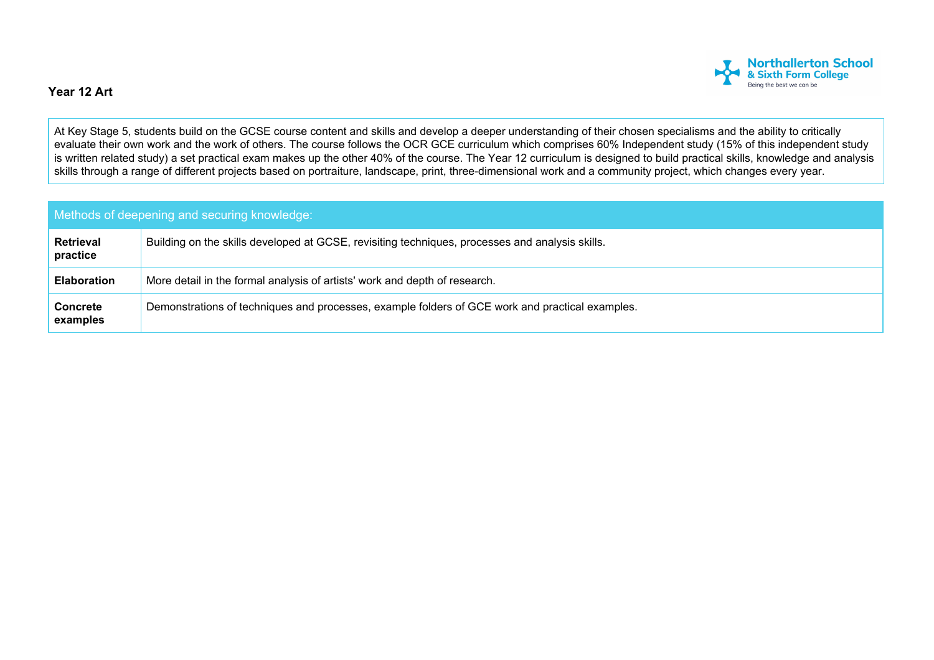

## **Year 12 Art**

At Key Stage 5, students build on the GCSE course content and skills and develop a deeper understanding of their chosen specialisms and the ability to critically evaluate their own work and the work of others. The course follows the OCR GCE curriculum which comprises 60% Independent study (15% of this independent study is written related study) a set practical exam makes up the other 40% of the course. The Year 12 curriculum is designed to build practical skills, knowledge and analysis skills through a range of different projects based on portraiture, landscape, print, three-dimensional work and a community project, which changes every year.

| Methods of deepening and securing knowledge: |                                                                                                 |  |  |  |
|----------------------------------------------|-------------------------------------------------------------------------------------------------|--|--|--|
| <b>Retrieval</b><br>practice                 | Building on the skills developed at GCSE, revisiting techniques, processes and analysis skills. |  |  |  |
| <b>Elaboration</b>                           | More detail in the formal analysis of artists' work and depth of research.                      |  |  |  |
| <b>Concrete</b><br>examples                  | Demonstrations of techniques and processes, example folders of GCE work and practical examples. |  |  |  |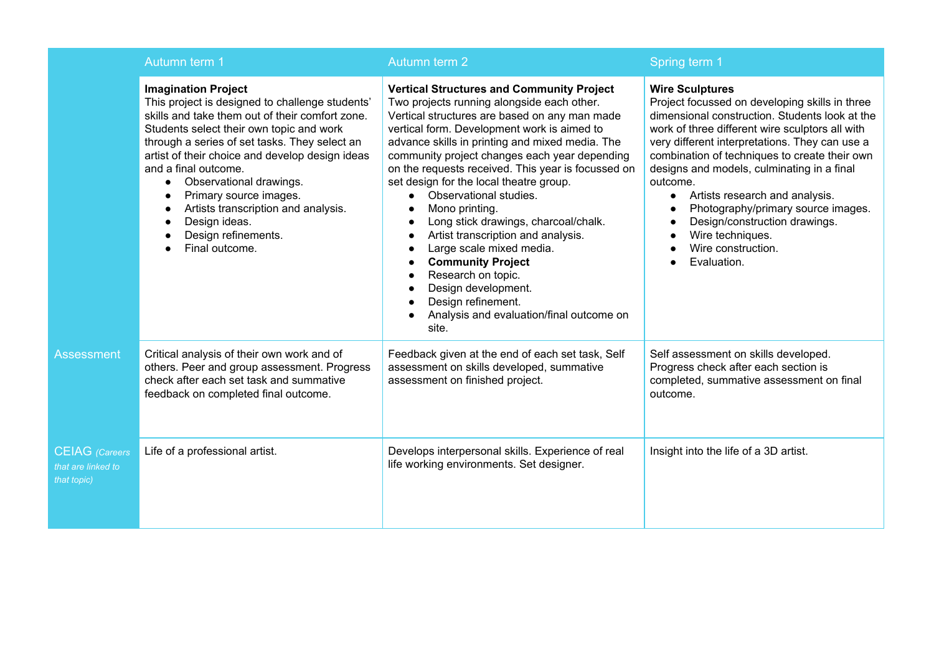|                                                            | Autumn term 1                                                                                                                                                                                                                                                                                                                                                                                                                                                  | Autumn term 2                                                                                                                                                                                                                                                                                                                                                                                                                                                                                                                                                                                                                                                                                                 | Spring term 1                                                                                                                                                                                                                                                                                                                                                                                                                                                                                                  |
|------------------------------------------------------------|----------------------------------------------------------------------------------------------------------------------------------------------------------------------------------------------------------------------------------------------------------------------------------------------------------------------------------------------------------------------------------------------------------------------------------------------------------------|---------------------------------------------------------------------------------------------------------------------------------------------------------------------------------------------------------------------------------------------------------------------------------------------------------------------------------------------------------------------------------------------------------------------------------------------------------------------------------------------------------------------------------------------------------------------------------------------------------------------------------------------------------------------------------------------------------------|----------------------------------------------------------------------------------------------------------------------------------------------------------------------------------------------------------------------------------------------------------------------------------------------------------------------------------------------------------------------------------------------------------------------------------------------------------------------------------------------------------------|
|                                                            | <b>Imagination Project</b><br>This project is designed to challenge students'<br>skills and take them out of their comfort zone.<br>Students select their own topic and work<br>through a series of set tasks. They select an<br>artist of their choice and develop design ideas<br>and a final outcome.<br>Observational drawings.<br>Primary source images.<br>Artists transcription and analysis.<br>Design ideas.<br>Design refinements.<br>Final outcome. | <b>Vertical Structures and Community Project</b><br>Two projects running alongside each other.<br>Vertical structures are based on any man made<br>vertical form. Development work is aimed to<br>advance skills in printing and mixed media. The<br>community project changes each year depending<br>on the requests received. This year is focussed on<br>set design for the local theatre group.<br>Observational studies.<br>Mono printing.<br>Long stick drawings, charcoal/chalk.<br>Artist transcription and analysis.<br>Large scale mixed media.<br><b>Community Project</b><br>Research on topic.<br>Design development.<br>Design refinement.<br>Analysis and evaluation/final outcome on<br>site. | <b>Wire Sculptures</b><br>Project focussed on developing skills in three<br>dimensional construction. Students look at the<br>work of three different wire sculptors all with<br>very different interpretations. They can use a<br>combination of techniques to create their own<br>designs and models, culminating in a final<br>outcome.<br>• Artists research and analysis.<br>Photography/primary source images.<br>Design/construction drawings.<br>Wire techniques.<br>Wire construction.<br>Evaluation. |
| Assessment                                                 | Critical analysis of their own work and of<br>others. Peer and group assessment. Progress<br>check after each set task and summative<br>feedback on completed final outcome.                                                                                                                                                                                                                                                                                   | Feedback given at the end of each set task, Self<br>assessment on skills developed, summative<br>assessment on finished project.                                                                                                                                                                                                                                                                                                                                                                                                                                                                                                                                                                              | Self assessment on skills developed.<br>Progress check after each section is<br>completed, summative assessment on final<br>outcome.                                                                                                                                                                                                                                                                                                                                                                           |
| <b>CEIAG</b> (Careers<br>that are linked to<br>that topic) | Life of a professional artist.                                                                                                                                                                                                                                                                                                                                                                                                                                 | Develops interpersonal skills. Experience of real<br>life working environments. Set designer.                                                                                                                                                                                                                                                                                                                                                                                                                                                                                                                                                                                                                 | Insight into the life of a 3D artist.                                                                                                                                                                                                                                                                                                                                                                                                                                                                          |

*that topic)*